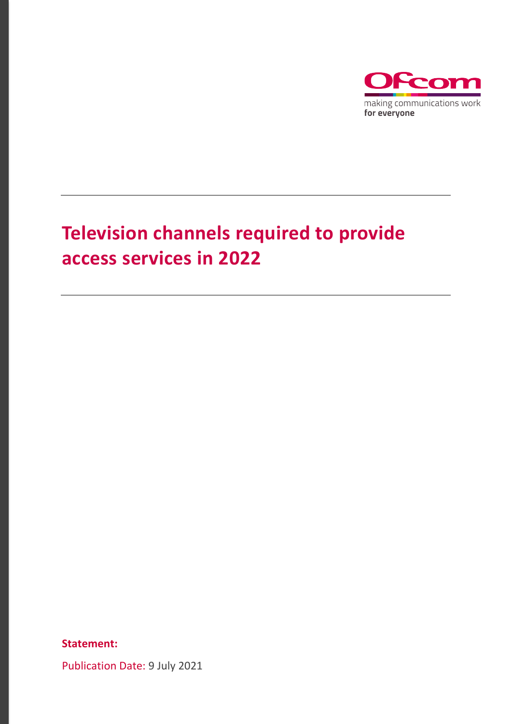

### **Television channels required to provide access services in 2022**

**Statement:**

Publication Date: 9 July 2021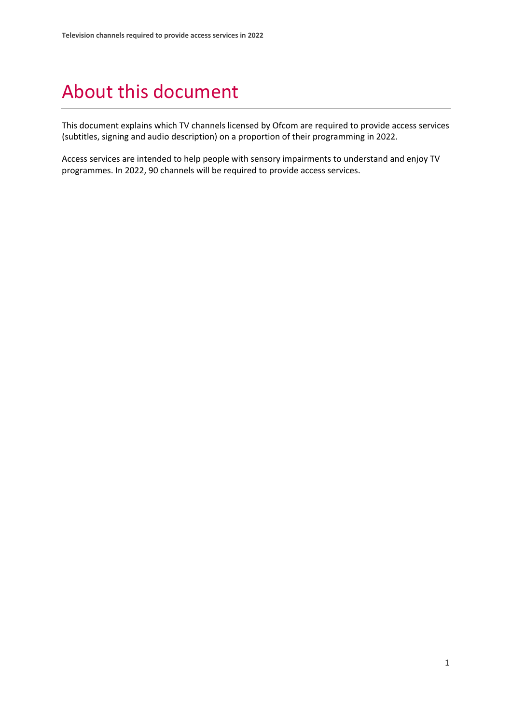## About this document

This document explains which TV channels licensed by Ofcom are required to provide access services (subtitles, signing and audio description) on a proportion of their programming in 2022.

Access services are intended to help people with sensory impairments to understand and enjoy TV programmes. In 2022, 90 channels will be required to provide access services.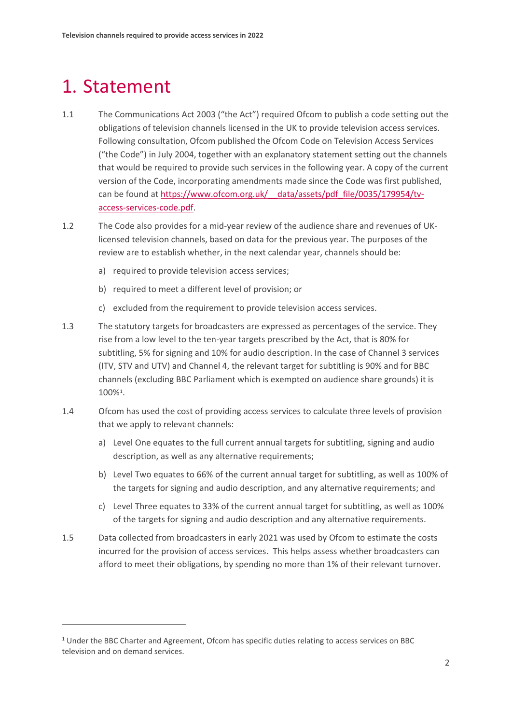### 1. Statement

- 1.1 The Communications Act 2003 ("the Act") required Ofcom to publish a code setting out the obligations of television channels licensed in the UK to provide television access services. Following consultation, Ofcom published the Ofcom Code on Television Access Services ("the Code") in July 2004, together with an explanatory statement setting out the channels that would be required to provide such services in the following year. A copy of the current version of the Code, incorporating amendments made since the Code was first published, can be found at [https://www.ofcom.org.uk/\\_\\_data/assets/pdf\\_file/0035/179954/tv](https://www.ofcom.org.uk/__data/assets/pdf_file/0035/179954/tv-access-services-code.pdf)[access-services-code.pdf.](https://www.ofcom.org.uk/__data/assets/pdf_file/0035/179954/tv-access-services-code.pdf)
- 1.2 The Code also provides for a mid-year review of the audience share and revenues of UKlicensed television channels, based on data for the previous year. The purposes of the review are to establish whether, in the next calendar year, channels should be:
	- a) required to provide television access services;
	- b) required to meet a different level of provision; or
	- c) excluded from the requirement to provide television access services.
- 1.3 The statutory targets for broadcasters are expressed as percentages of the service. They rise from a low level to the ten-year targets prescribed by the Act, that is 80% for subtitling, 5% for signing and 10% for audio description. In the case of Channel 3 services (ITV, STV and UTV) and Channel 4, the relevant target for subtitling is 90% and for BBC channels (excluding BBC Parliament which is exempted on audience share grounds) it is 100%[1.](#page-2-0)
- 1.4 Ofcom has used the cost of providing access services to calculate three levels of provision that we apply to relevant channels:
	- a) Level One equates to the full current annual targets for subtitling, signing and audio description, as well as any alternative requirements;
	- b) Level Two equates to 66% of the current annual target for subtitling, as well as 100% of the targets for signing and audio description, and any alternative requirements; and
	- c) Level Three equates to 33% of the current annual target for subtitling, as well as 100% of the targets for signing and audio description and any alternative requirements.
- 1.5 Data collected from broadcasters in early 2021 was used by Ofcom to estimate the costs incurred for the provision of access services. This helps assess whether broadcasters can afford to meet their obligations, by spending no more than 1% of their relevant turnover.

<span id="page-2-0"></span><sup>&</sup>lt;sup>1</sup> Under the BBC Charter and Agreement, Ofcom has specific duties relating to access services on BBC television and on demand services.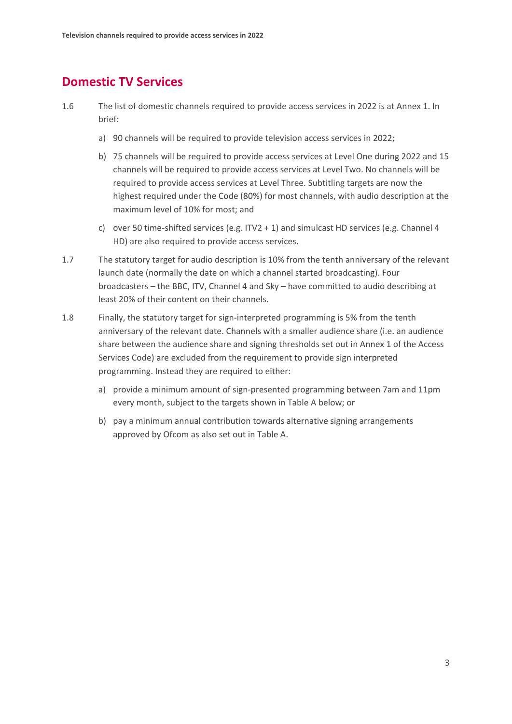### **Domestic TV Services**

- 1.6 The list of domestic channels required to provide access services in 2022 is at Annex 1. In brief:
	- a) 90 channels will be required to provide television access services in 2022;
	- b) 75 channels will be required to provide access services at Level One during 2022 and 15 channels will be required to provide access services at Level Two. No channels will be required to provide access services at Level Three. Subtitling targets are now the highest required under the Code (80%) for most channels, with audio description at the maximum level of 10% for most; and
	- c) over 50 time-shifted services (e.g. ITV2 + 1) and simulcast HD services (e.g. Channel 4 HD) are also required to provide access services.
- 1.7 The statutory target for audio description is 10% from the tenth anniversary of the relevant launch date (normally the date on which a channel started broadcasting). Four broadcasters – the BBC, ITV, Channel 4 and Sky – have committed to audio describing at least 20% of their content on their channels.
- 1.8 Finally, the statutory target for sign-interpreted programming is 5% from the tenth anniversary of the relevant date. Channels with a smaller audience share (i.e. an audience share between the audience share and signing thresholds set out in Annex 1 of the Access Services Code) are excluded from the requirement to provide sign interpreted programming. Instead they are required to either:
	- a) provide a minimum amount of sign-presented programming between 7am and 11pm every month, subject to the targets shown in Table A below; or
	- b) pay a minimum annual contribution towards alternative signing arrangements approved by Ofcom as also set out in Table A.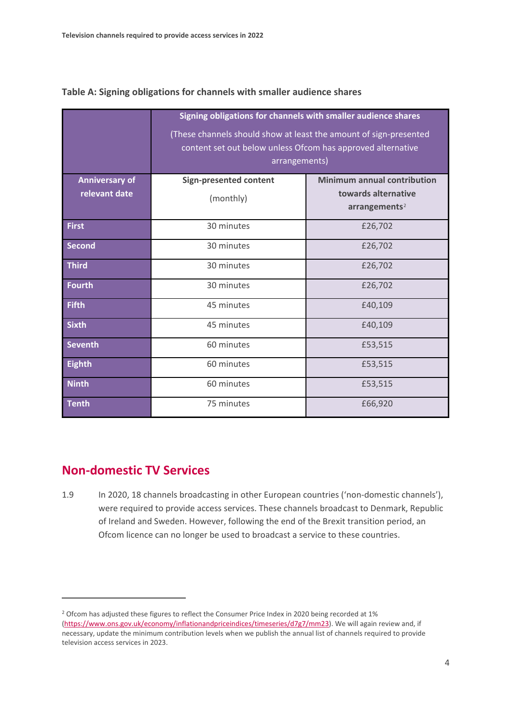|                       | Signing obligations for channels with smaller audience shares<br>(These channels should show at least the amount of sign-presented<br>content set out below unless Ofcom has approved alternative<br>arrangements) |                                                  |  |
|-----------------------|--------------------------------------------------------------------------------------------------------------------------------------------------------------------------------------------------------------------|--------------------------------------------------|--|
| <b>Anniversary of</b> | <b>Sign-presented content</b>                                                                                                                                                                                      | <b>Minimum annual contribution</b>               |  |
| relevant date         | (monthly)                                                                                                                                                                                                          | towards alternative<br>arrangements <sup>2</sup> |  |
| <b>First</b>          | 30 minutes                                                                                                                                                                                                         | £26,702                                          |  |
| <b>Second</b>         | 30 minutes                                                                                                                                                                                                         | £26,702                                          |  |
| <b>Third</b>          | 30 minutes                                                                                                                                                                                                         | £26,702                                          |  |
| Fourth                | 30 minutes                                                                                                                                                                                                         | £26,702                                          |  |
| <b>Fifth</b>          | 45 minutes                                                                                                                                                                                                         | £40,109                                          |  |
| <b>Sixth</b>          | 45 minutes                                                                                                                                                                                                         | £40,109                                          |  |
| <b>Seventh</b>        | 60 minutes                                                                                                                                                                                                         | £53,515                                          |  |
| <b>Eighth</b>         | 60 minutes                                                                                                                                                                                                         | £53,515                                          |  |
| <b>Ninth</b>          | 60 minutes                                                                                                                                                                                                         | £53,515                                          |  |
| <b>Tenth</b>          | 75 minutes                                                                                                                                                                                                         | £66,920                                          |  |

#### **Table A: Signing obligations for channels with smaller audience shares**

#### **Non-domestic TV Services**

1.9 In 2020, 18 channels broadcasting in other European countries ('non-domestic channels'), were required to provide access services. These channels broadcast to Denmark, Republic of Ireland and Sweden. However, following the end of the Brexit transition period, an Ofcom licence can no longer be used to broadcast a service to these countries.

<span id="page-4-0"></span><sup>&</sup>lt;sup>2</sup> Ofcom has adjusted these figures to reflect the Consumer Price Index in 2020 being recorded at 1% [\(https://www.ons.gov.uk/economy/inflationandpriceindices/timeseries/d7g7/mm23\)](https://www.ons.gov.uk/economy/inflationandpriceindices/timeseries/d7g7/mm23). We will again review and, if necessary, update the minimum contribution levels when we publish the annual list of channels required to provide television access services in 2023.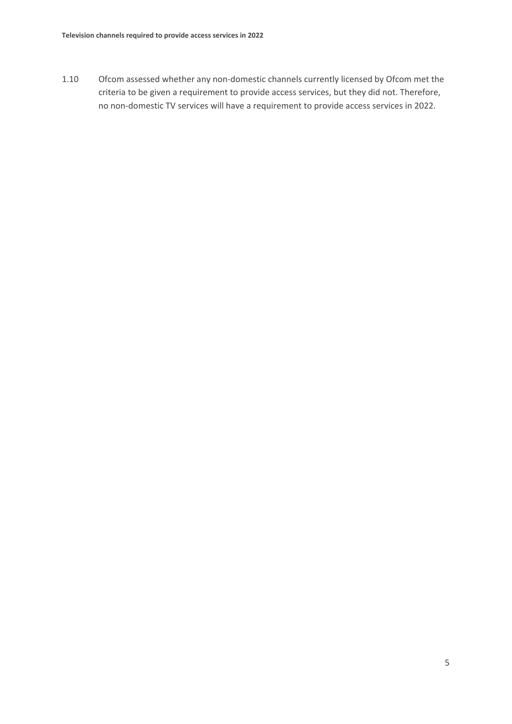1.10 Ofcom assessed whether any non-domestic channels currently licensed by Ofcom met the criteria to be given a requirement to provide access services, but they did not. Therefore, no non-domestic TV services will have a requirement to provide access services in 2022.